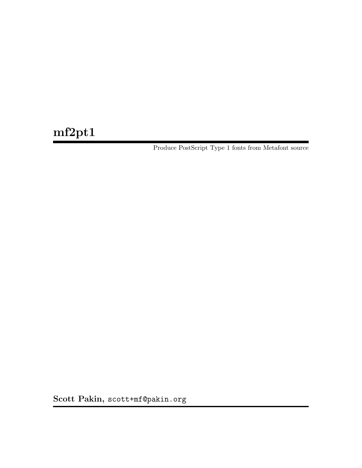# mf2pt1

Produce PostScript Type 1 fonts from Metafont source

Scott Pakin, [scott+mf@pakin.org](mailto:scott+mf@pakin.org)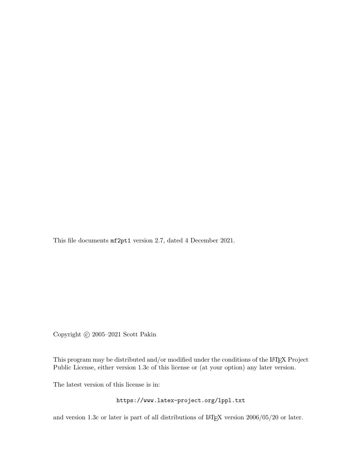This file documents mf2pt1 version 2.7, dated 4 December 2021.

Copyright © 2005-2021 Scott Pakin

This program may be distributed and/or modified under the conditions of the LATEX Project Public License, either version 1.3c of this license or (at your option) any later version.

The latest version of this license is in:

<https://www.latex-project.org/lppl.txt>

and version 1.3c or later is part of all distributions of L<sup>AT</sup>EX version 2006/05/20 or later.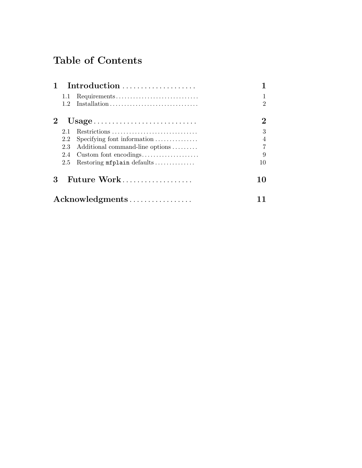# Table of Contents

|                 |                                                               | Introduction                    |                |  |
|-----------------|---------------------------------------------------------------|---------------------------------|----------------|--|
|                 | 1.1                                                           | Requirements                    |                |  |
|                 | 1.2                                                           |                                 | $\mathfrak{D}$ |  |
|                 | $Usage \dots \dots \dots \dots \dots \dots \dots \dots \dots$ | 2                               |                |  |
|                 | 2.1                                                           | Restrictions                    | 3              |  |
|                 | 2.2                                                           | Specifying font information     |                |  |
|                 | 2.3                                                           | Additional command-line options | 7              |  |
|                 | 2.4                                                           | Custom font encodings           | 9              |  |
|                 | 2.5                                                           | Restoring mfplain defaults      | 10             |  |
| 3               |                                                               | Future Work                     | 10             |  |
| Acknowledgments |                                                               |                                 |                |  |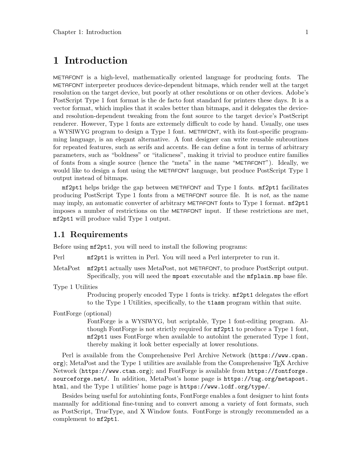# <span id="page-3-0"></span>1 Introduction

METAFONT is a high-level, mathematically oriented language for producing fonts. The METAFONT interpreter produces device-dependent bitmaps, which render well at the target resolution on the target device, but poorly at other resolutions or on other devices. Adobe's PostScript Type 1 font format is the de facto font standard for printers these days. It is a vector format, which implies that it scales better than bitmaps, and it delegates the deviceand resolution-dependent tweaking from the font source to the target device's PostScript renderer. However, Type 1 fonts are extremely difficult to code by hand. Usually, one uses a WYSIWYG program to design a Type 1 font. METAFONT, with its font-specific programming language, is an elegant alternative. A font designer can write reusable subroutines for repeated features, such as serifs and accents. He can define a font in terms of arbitrary parameters, such as "boldness" or "italicness", making it trivial to produce entire families of fonts from a single source (hence the "meta" in the name "METAFONT"). Ideally, we would like to design a font using the METAFONT language, but produce PostScript Type 1 output instead of bitmaps.

mf2pt1 helps bridge the gap between METAFONT and Type 1 fonts. mf2pt1 facilitates producing PostScript Type 1 fonts from a METAFONT source file. It is not, as the name may imply, an automatic converter of arbitrary METAFONT fonts to Type 1 format. mf2pt1 imposes a number of restrictions on the METAFONT input. If these restrictions are met, mf2pt1 will produce valid Type 1 output.

## 1.1 Requirements

Before using mf2pt1, you will need to install the following programs:

Perl mf2pt1 is written in Perl. You will need a Perl interpreter to run it.

- MetaPost mf2pt1 actually uses MetaPost, not METAFONT, to produce PostScript output. Specifically, you will need the mpost executable and the mfplain.mp base file.
- Type 1 Utilities

Producing properly encoded Type 1 fonts is tricky. mf2pt1 delegates the effort to the Type 1 Utilities, specifically, to the t1asm program within that suite.

FontForge (optional)

FontForge is a WYSIWYG, but scriptable, Type 1 font-editing program. Although FontForge is not strictly required for mf2pt1 to produce a Type 1 font, mf2pt1 uses FontForge when available to autohint the generated Type 1 font, thereby making it look better especially at lower resolutions.

Perl is available from [the Comprehensive Perl Archive Network \(](https://www.cpan.org)https://www.cpan.  $\sigma$ g); MetaPost and the Type 1 utilities are available from the Comprehensive T<sub>E</sub>X Archive Network (<https://www.ctan.org>); and FontForge is available from [https://fontforge.](https://fontforge.sourceforge.net/) [sourceforge.net/](https://fontforge.sourceforge.net/). In addition, MetaPost's home page is [https://tug.org/metapost.](https://tug.org/metapost.html) [html](https://tug.org/metapost.html), and the Type 1 utilities' home page is <https://www.lcdf.org/type/>.

Besides being useful for autohinting fonts, FontForge enables a font designer to hint fonts manually for additional fine-tuning and to convert among a variety of font formats, such as PostScript, TrueType, and X Window fonts. FontForge is strongly recommended as a complement to mf2pt1.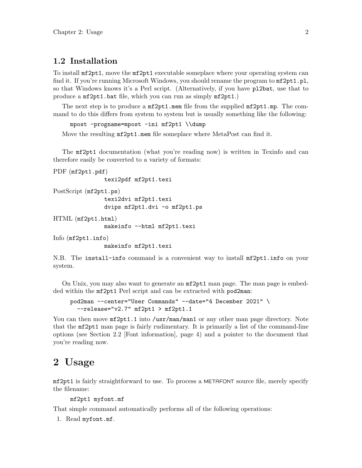# <span id="page-4-0"></span>1.2 Installation

To install mf2pt1, move the mf2pt1 executable someplace where your operating system can find it. If you're running Microsoft Windows, you should rename the program to  $mf2pt1.pl$ , so that Windows knows it's a Perl script. (Alternatively, if you have pl2bat, use that to produce a mf2pt1.bat file, which you can run as simply mf2pt1.)

The next step is to produce a mf2pt1.mem file from the supplied mf2pt1.mp. The command to do this differs from system to system but is usually something like the following:

```
mpost -progname=mpost -ini mf2pt1 \\dump
```
Move the resulting  $mf2pt1$  mem file someplace where MetaPost can find it.

The mf2pt1 documentation (what you're reading now) is written in Texinfo and can therefore easily be converted to a variety of formats:

```
PDF (mf2pt1.pdf)
```
texi2pdf mf2pt1.texi

```
PostScript (mf2pt1.ps)
```
texi2dvi mf2pt1.texi dvips mf2pt1.dvi -o mf2pt1.ps

HTML (mf2pt1.html)

makeinfo --html mf2pt1.texi

Info (mf2pt1.info) makeinfo mf2pt1.texi

N.B. The install-info command is a convenient way to install mf2pt1.info on your system.

On Unix, you may also want to generate an mf2pt1 man page. The man page is embedded within the mf2pt1 Perl script and can be extracted with pod2man:

```
pod2man --center="User Commands" --date="4 December 2021" \
  --release="v2.7" mf2pt1 > mf2pt1.1
```
You can then move  $mf2pt1.1$  into /usr/man/man1 or any other man page directory. Note that the mf2pt1 man page is fairly rudimentary. It is primarily a list of the command-line options (see [Section 2.2 \[Font information\], page 4](#page-6-1)) and a pointer to the document that you're reading now.

# 2 Usage

mf2pt1 is fairly straightforward to use. To process a METAFONT source file, merely specify the filename:

```
mf2pt1 myfont.mf
```
That simple command automatically performs all of the following operations:

```
1. Read myfont.mf.
```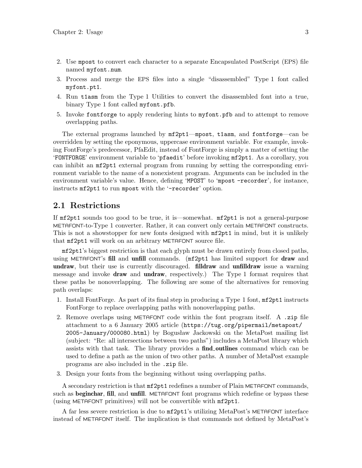- <span id="page-5-0"></span>2. Use mpost to convert each character to a separate Encapsulated PostScript (EPS) file named myfont.num.
- 3. Process and merge the EPS files into a single "disassembled" Type 1 font called myfont.pt1.
- 4. Run t1asm from the Type 1 Utilities to convert the disassembled font into a true, binary Type 1 font called myfont.pfb.
- 5. Invoke fontforge to apply rendering hints to myfont.pfb and to attempt to remove overlapping paths.

The external programs launched by mf2pt1—mpost, t1asm, and fontforge—can be overridden by setting the eponymous, uppercase environment variable. For example, invoking FontForge's predecessor, PfaEdit, instead of FontForge is simply a matter of setting the 'FONTFORGE' environment variable to 'pfaedit' before invoking mf2pt1. As a corollary, you can inhibit an mf2pt1 external program from running by setting the corresponding environment variable to the name of a nonexistent program. Arguments can be included in the environment variable's value. Hence, defining 'MPOST' to 'mpost -recorder', for instance, instructs mf2pt1 to run mpost with the '-recorder' option.

### <span id="page-5-1"></span>2.1 Restrictions

If mf2pt1 sounds too good to be true, it is—somewhat. mf2pt1 is not a general-purpose METAFONT-to-Type 1 converter. Rather, it can convert only certain METAFONT constructs. This is not a showstopper for new fonts designed with  $mf2pt1$  in mind, but it is unlikely that mf2pt1 will work on an arbitrary METAFONT source file.

mf2pt1's biggest restriction is that each glyph must be drawn entirely from closed paths, using METAFONT's fill and unfill commands. (mf2pt1 has limited support for draw and undraw, but their use is currently discouraged. **filldraw** and unfilldraw issue a warning message and invoke **draw** and **undraw**, respectively.) The Type 1 format requires that these paths be nonoverlapping. The following are some of the alternatives for removing path overlaps:

- 1. Install FontForge. As part of its final step in producing a Type 1 font, mf2pt1 instructs FontForge to replace overlapping paths with nonoverlapping paths.
- 2. Remove overlaps using METAFONT code within the font program itself. A .zip file attachment to a 6 January 2005 article ([https://tug.org/pipermail/metapost/](https://tug.org/pipermail/metapost/2005-January/000080.html) [2005-January/000080.html](https://tug.org/pipermail/metapost/2005-January/000080.html)) by Bogusław Jackowski on the MetaPost mailing list (subject: "Re: all intersections between two paths") includes a MetaPost library which assists with that task. The library provides a find outlines command which can be used to define a path as the union of two other paths. A number of MetaPost example programs are also included in the .zip file.
- 3. Design your fonts from the beginning without using overlapping paths.

A secondary restriction is that mf2pt1 redefines a number of Plain METAFONT commands, such as beginchar, fill, and unfill. METAFONT font programs which redefine or bypass these (using METAFONT primitives) will not be convertible with mf2pt1.

A far less severe restriction is due to mf2pt1's utilizing MetaPost's METAFONT interface instead of METAFONT itself. The implication is that commands not defined by MetaPost's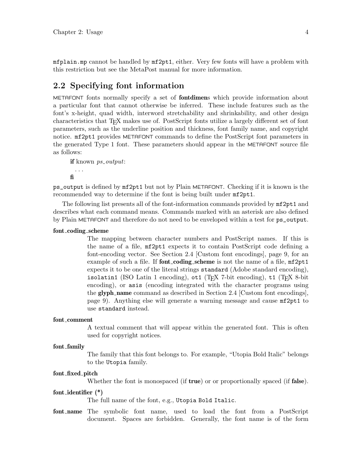<span id="page-6-0"></span>mfplain.mp cannot be handled by mf2pt1, either. Very few fonts will have a problem with this restriction but see the MetaPost manual for more information.

### <span id="page-6-1"></span>2.2 Specifying font information

METAFONT fonts normally specify a set of fontdimens which provide information about a particular font that cannot otherwise be inferred. These include features such as the font's x-height, quad width, interword stretchability and shrinkability, and other design characteristics that T<sub>F</sub>X makes use of. PostScript fonts utilize a largely different set of font parameters, such as the underline position and thickness, font family name, and copyright notice. mf2pt1 provides METAFONT commands to define the PostScript font parameters in the generated Type 1 font. These parameters should appear in the METAFONT source file as follows:

if known *ps\_output*:

. . . fi

ps\_output is defined by mf2pt1 but not by Plain METAFONT. Checking if it is known is the recommended way to determine if the font is being built under mf2pt1.

The following list presents all of the font-information commands provided by mf2pt1 and describes what each command means. Commands marked with an asterisk are also defined by Plain METAFONT and therefore do not need to be enveloped within a test for ps\_output.

#### font coding scheme

The mapping between character numbers and PostScript names. If this is the name of a file, mf2pt1 expects it to contain PostScript code defining a font-encoding vector. See [Section 2.4 \[Custom font encodings\], page 9](#page-11-0), for an example of such a file. If **font\_coding\_scheme** is not the name of a file,  $mf2pt1$ expects it to be one of the literal strings standard (Adobe standard encoding), isolatin1 (ISO Latin 1 encoding),  $ot1$  (T<sub>E</sub>X 7-bit encoding),  $t1$  (T<sub>E</sub>X 8-bit encoding), or asis (encoding integrated with the character programs using the glyph name command as described in [Section 2.4 \[Custom font encodings\],](#page-11-0) [page 9](#page-11-0)). Anything else will generate a warning message and cause mf2pt1 to use standard instead.

#### font comment

A textual comment that will appear within the generated font. This is often used for copyright notices.

#### font family

The family that this font belongs to. For example, "Utopia Bold Italic" belongs to the Utopia family.

#### font fixed pitch

Whether the font is monospaced (if **true**) or or proportionally spaced (if **false**).

#### font identifier (\*)

The full name of the font, e.g., Utopia Bold Italic.

font name The symbolic font name, used to load the font from a PostScript document. Spaces are forbidden. Generally, the font name is of the form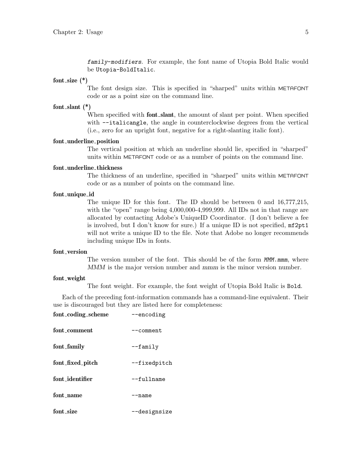family-modifiers. For example, the font name of Utopia Bold Italic would be Utopia-BoldItalic.

#### font\_size  $(*)$

The font design size. This is specified in "sharped" units within METAFONT code or as a point size on the command line.

#### font\_slant $(*)$

When specified with **font** slant, the amount of slant per point. When specified with  $-\text{-italicangle}$ , the angle in counterclockwise degrees from the vertical (i.e., zero for an upright font, negative for a right-slanting italic font).

#### font underline position

The vertical position at which an underline should lie, specified in "sharped" units within METAFONT code or as a number of points on the command line.

#### font underline thickness

The thickness of an underline, specified in "sharped" units within METAFONT code or as a number of points on the command line.

#### font unique id

The unique ID for this font. The ID should be between 0 and 16,777,215, with the "open" range being  $4,000,000-4,999,999$ . All IDs not in that range are allocated by contacting Adobe's UniqueID Coordinator. (I don't believe a fee is involved, but I don't know for sure.) If a unique ID is not specified, mf2pt1 will not write a unique ID to the file. Note that Adobe no longer recommends including unique IDs in fonts.

#### font\_version

The version number of the font. This should be of the form  $M/M$ .mmm, where MMM is the major version number and mmm is the minor version number.

#### font weight

The font weight. For example, the font weight of Utopia Bold Italic is Bold.

Each of the preceding font-information commands has a command-line equivalent. Their use is discouraged but they are listed here for completeness:

| font_coding_scheme | --encoding         |
|--------------------|--------------------|
| font_comment       | --comment          |
| font_family        | $-\texttt{family}$ |
| font_fixed_pitch   | --fixedpitch       |
| font_identifier    | --fullname         |
| font_name          | --name             |
| font_size          | --designsize       |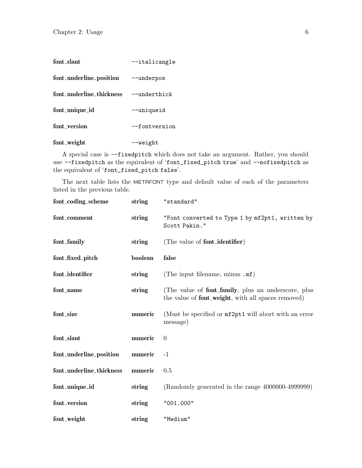| font_slant                            | --italicangle  |
|---------------------------------------|----------------|
| font_underline_position --underpos    |                |
| font_underline_thickness --underthick |                |
| font_unique_id                        | --uniqueid     |
| font version                          | --fontversion  |
| font_weight                           | $-\vee$ weight |

A special case is --fixedpitch which does not take an argument. Rather, you should use --fixedpitch as the equivalent of 'font\_fixed\_pitch true' and --nofixedpitch as the equivalent of 'font\_fixed\_pitch false'.

The next table lists the METAFONT type and default value of each of the parameters listed in the previous table.

| font_coding_scheme       | string  | "standard"                                                                                                        |
|--------------------------|---------|-------------------------------------------------------------------------------------------------------------------|
| font_comment             | string  | "Font converted to Type 1 by mf2pt1, written by<br>Scott Pakin."                                                  |
| font_family              | string  | (The value of <b>font_identifier</b> )                                                                            |
| font_fixed_pitch         | boolean | false                                                                                                             |
| font_identifier          | string  | (The input filename, minus .mf)                                                                                   |
| font_name                | string  | (The value of <b>font_family</b> , plus an underscore, plus<br>the value of font_weight, with all spaces removed) |
| font_size                | numeric | (Must be specified or $mf2pt1$ will abort with an error<br>message)                                               |
| font_slant               | numeric | $\overline{0}$                                                                                                    |
| font_underline_position  | numeric | $-1$                                                                                                              |
| font_underline_thickness | numeric | 0.5                                                                                                               |
| font_unique_id           | string  | $(Randomy generated in the range 4000000-4999999)$                                                                |
| font_version             | string  | "001.000"                                                                                                         |
| font_weight              | string  | "Medium"                                                                                                          |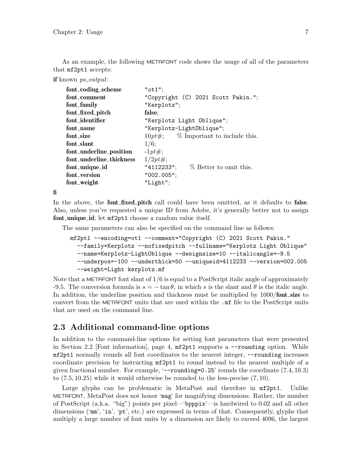<span id="page-9-0"></span>As an example, the following METAFONT code shows the usage of all of the parameters that mf2pt1 accepts:

```
if known ps\_output:
```

| font_coding_scheme       | "ot1";                                  |
|--------------------------|-----------------------------------------|
| font_comment             | "Copyright (C) 2021 Scott Pakin.";      |
| font_family              | "Kerplotz";                             |
| font_fixed_pitch         | false;                                  |
| font_identifier          | "Kerplotz Light Oblique";               |
| font name                | "Kerplotz-LightOblique";                |
| font size                | $10pt\#$ ; % Important to include this. |
| font slant               | $1/6$ ;                                 |
| font_underline_position  | $-1pt\#;$                               |
| font underline thickness | $1/2pt\#;$                              |
| font_unique_id           | "4112233"; $\%$ Better to omit this.    |
| font version             | $"002.005"$ ;                           |
| font_weight              | "Light";                                |

fi

In the above, the **font fixed pitch** call could have been omitted, as it defaults to **false**. Also, unless you've requested a unique ID from Adobe, it's generally better not to assign font\_unique\_id; let mf2pt1 choose a random value itself.

The same parameters can also be specified on the command line as follows:

```
mf2pt1 --encoding=ot1 --comment="Copyright (C) 2021 Scott Pakin."
 --family=Kerplotz --nofixedpitch --fullname="Kerplotz Light Oblique"
 --name=Kerplotz-LightOblique --designsize=10 --italicangle=-9.5
  --underpos=-100 --underthick=50 --uniqueid=4112233 --version=002.005
  --weight=Light kerplotz.mf
```
Note that a METAFONT font slant of  $1/6$  is equal to a PostScript italic angle of approximately -9.5. The conversion formula is  $s = -\tan \theta$ , in which s is the slant and  $\theta$  is the italic angle. In addition, the underline position and thickness must be multiplied by  $1000/$  font size to convert from the METAFONT units that are used within the .mf file to the PostScript units that are used on the command line.

# <span id="page-9-1"></span>2.3 Additional command-line options

In addition to the command-line options for setting font parameters that were presented in [Section 2.2 \[Font information\], page 4,](#page-6-1) mf2pt1 supports a --rounding option. While mf2pt1 normally rounds all font coordinates to the nearest integer, --rounding increases coordinate precision by instructing mf2pt1 to round instead to the nearest multiple of a given fractional number. For example,  $\left(-\text{rounding=0.25}\right)$  rounds the coordinate (7.4, 10.3) to (7.5, 10.25) while it would otherwise be rounded to the less-precise (7, 10).

Large glyphs can be problematic in MetaPost and therefore in  $mf2pt1$ . Unlike METAFONT, MetaPost does not honor 'mag' for magnifying dimensions. Rather, the number of PostScript (a.k.a. "big") points per pixel—'bpppix'—is hardwired to 0.02 and all other dimensions ('mm', 'in', 'pt', etc.) are expressed in terms of that. Consequently, glyphs that multiply a large number of font units by a dimension are likely to exceed 4096, the largest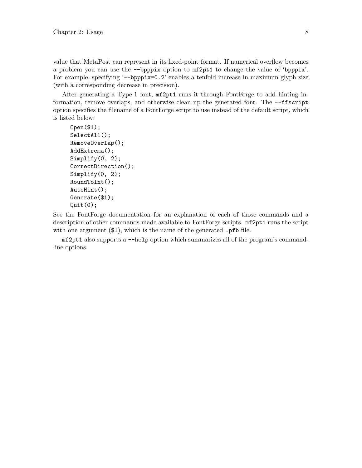value that MetaPost can represent in its fixed-point format. If numerical overflow becomes a problem you can use the --bpppix option to mf2pt1 to change the value of 'bpppix'. For example, specifying '--bpppix=0.2' enables a tenfold increase in maximum glyph size (with a corresponding decrease in precision).

After generating a Type 1 font, mf2pt1 runs it through FontForge to add hinting information, remove overlaps, and otherwise clean up the generated font. The --ffscript option specifies the filename of a FontForge script to use instead of the default script, which is listed below:

```
Open($1);
SelectAll();
RemoveOverlap();
AddExtrema();
Simplify(0, 2);
CorrectDirection();
Simplify(0, 2);RoundToInt();
AutoHint();
Generate($1);
Quit(0);
```
See the FontForge documentation for an explanation of each of those commands and a description of other commands made available to FontForge scripts. mf2pt1 runs the script with one argument  $(\$1)$ , which is the name of the generated .pfb file.

mf2pt1 also supports a --help option which summarizes all of the program's commandline options.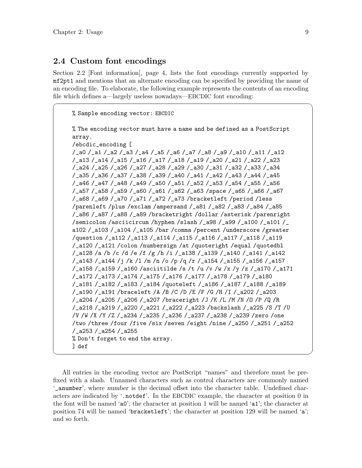### <span id="page-11-0"></span>2.4 Custom font encodings

[Section 2.2 \[Font information\], page 4](#page-6-1), lists the font encodings currently supported by mf2pt1 and mentions that an alternate encoding can be specified by providing the name of an encoding file. To elaborate, the following example represents the contents of an encoding file which defines a—largely useless nowadays—EBCDIC font encoding:

 $\sqrt{2\pi}$ 

```
% Sample encoding vector: EBCDIC
     % The encoding vector must have a name and be defined as a PostScript
     array.
     /ebcdic_encoding [
     /_a0 /_a1 /_a2 /_a3 /_a4 /_a5 /_a6 /_a7 /_a8 /_a9 /_a10 /_a11 /_a12
     /_a13 /_a14 /_a15 /_a16 /_a17 /_a18 /_a19 /_a20 /_a21 /_a22 /_a23
     /_a24 /_a25 /_a26 /_a27 /_a28 /_a29 /_a30 /_a31 /_a32 /_a33 /_a34
     /_a35 /_a36 /_a37 /_a38 /_a39 /_a40 /_a41 /_a42 /_a43 /_a44 /_a45
     /_a46 /_a47 /_a48 /_a49 /_a50 /_a51 /_a52 /_a53 /_a54 /_a55 /_a56
     /_a57 /_a58 /_a59 /_a60 /_a61 /_a62 /_a63 /space /_a65 /_a66 /_a67
     /_a68 /_a69 /_a70 /_a71 /_a72 /_a73 /bracketleft /period /less
     /parenleft /plus /exclam /ampersand /_a81 /_a82 /_a83 /_a84 /_a85
     /_a86 /_a87 /_a88 /_a89 /bracketright /dollar /asterisk /parenright
     /semicolon /asciicircum /hyphen /slash /_a98 /_a99 /_a100 /_a101 /_
     a102 /_a103 /_a104 /_a105 /bar /comma /percent /underscore /greater
     /question /_a112 /_a113 /_a114 /_a115 /_a116 /_a117 /_a118 /_a119
     /_a120 /_a121 /colon /numbersign /at /quoteright /equal /quotedbl
     /_a128 /a /b /c /d /e /f /g /h /i /_a138 /_a139 /_a140 /_a141 /_a142
     /_a143 /_a144 /j /k /l /m /n /o /p /q /r /_a154 /_a155 /_a156 /_a157
     /_a158 /_a159 /_a160 /asciitilde /s /t /u /v /w /x /y /z /_a170 /_a171
     /_a172 /_a173 /_a174 /_a175 /_a176 /_a177 /_a178 /_a179 /_a180
     /_a181 /_a182 /_a183 /_a184 /quoteleft /_a186 /_a187 /_a188 /_a189
     /_a190 /_a191 /braceleft /A /B /C /D /E /F /G /H /I /_a202 /_a203
     /_a204 /_a205 /_a206 /_a207 /braceright /J /K /L /M /N /O /P /Q /R
     /_a218 /_a219 /_a220 /_a221 /_a222 /_a223 /backslash /_a225 /S /T /U
     /V /W /X /Y /Z /_a234 /_a235 /_a236 /_a237 /_a238 /_a239 /zero /one
     /two /three /four /five /six /seven /eight /nine /_a250 /_a251 /_a252
     /_a253 /_a254 /_a255
     % Don't forget to end the array.
     ] def
✡ ✠
```
All entries in the encoding vector are PostScript "names" and therefore must be prefixed with a slash. Unnamed characters such as control characters are commonly named '\_anumber', where number is the decimal offset into the character table. Undefined characters are indicated by '.notdef'. In the EBCDIC example, the character at position 0 in the font will be named 'a0'; the character at position 1 will be named 'a1'; the character at position 74 will be named 'bracketleft'; the character at position 129 will be named 'a'; and so forth.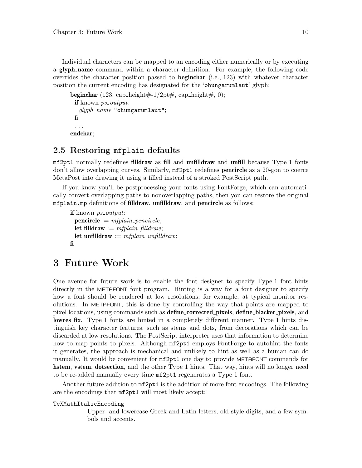<span id="page-12-0"></span>Individual characters can be mapped to an encoding either numerically or by executing a glyph name command within a character definition. For example, the following code overrides the character position passed to **beginchar** (i.e., 123) with whatever character position the current encoding has designated for the 'ohungarumlaut' glyph:

```
beginchar (123, cap_height\#-1/2pt\#, cap_height\#, 0);
 if known ps_output:
  qlyph_name "ohungarumlaut";
 fi
 . . .
endchar;
```
# 2.5 Restoring mfplain defaults

mf2pt1 normally redefines filldraw as fill and unfilldraw and unfill because Type 1 fonts don't allow overlapping curves. Similarly,  $mf2pt1$  redefines **pencircle** as a 20-gon to coerce MetaPost into drawing it using a filled instead of a stroked PostScript path.

If you know you'll be postprocessing your fonts using FontForge, which can automatically convert overlapping paths to nonoverlapping paths, then you can restore the original mfplain.mp definitions of filldraw, unfilldraw, and pencircle as follows:

```
if known ps_output:
 \mathbf{p}encircle := mfplain_pencircle;
 let filldraw := mfplain\_filldraw;let unfilldraw := m\ellplain_unfilldraw;
fi
```
# 3 Future Work

One avenue for future work is to enable the font designer to specify Type 1 font hints directly in the METAFONT font program. Hinting is a way for a font designer to specify how a font should be rendered at low resolutions, for example, at typical monitor resolutions. In METAFONT, this is done by controlling the way that points are mapped to pixel locations, using commands such as **define\_corrected\_pixels, define\_blacker\_pixels**, and lowres fix. Type 1 fonts are hinted in a completely different manner. Type 1 hints distinguish key character features, such as stems and dots, from decorations which can be discarded at low resolutions. The PostScript interpreter uses that information to determine how to map points to pixels. Although  $m2pt1$  employs FontForge to autohint the fonts it generates, the approach is mechanical and unlikely to hint as well as a human can do manually. It would be convenient for mf2pt1 one day to provide METAFONT commands for hstem, vstem, dotsection, and the other Type 1 hints. That way, hints will no longer need to be re-added manually every time mf2pt1 regenerates a Type 1 font.

Another future addition to  $m2pt1$  is the addition of more font encodings. The following are the encodings that mf2pt1 will most likely accept:

#### TeXMathItalicEncoding

Upper- and lowercase Greek and Latin letters, old-style digits, and a few symbols and accents.